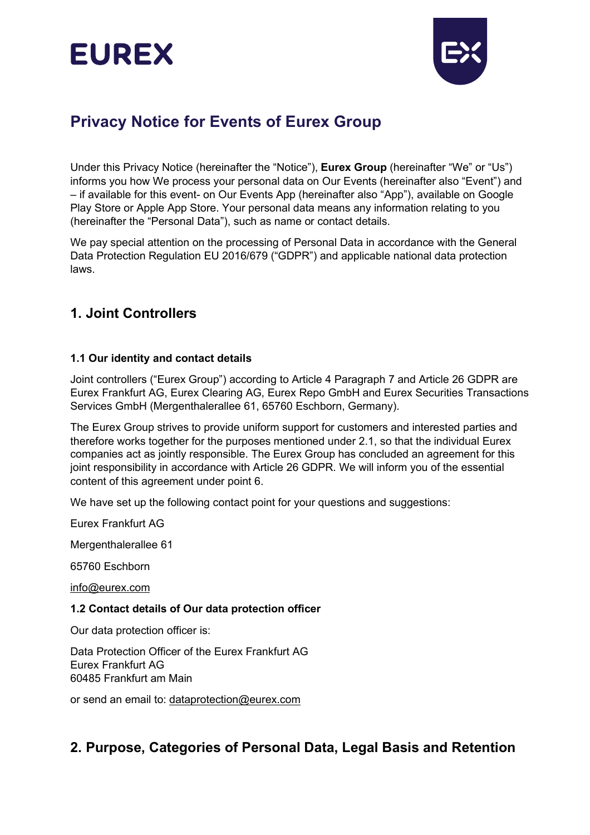# **EUREX**



## **Privacy Notice for Events of Eurex Group**

Under this Privacy Notice (hereinafter the "Notice"), **Eurex Group** (hereinafter "We" or "Us") informs you how We process your personal data on Our Events (hereinafter also "Event") and – if available for this event- on Our Events App (hereinafter also "App"), available on Google Play Store or Apple App Store. Your personal data means any information relating to you (hereinafter the "Personal Data"), such as name or contact details.

We pay special attention on the processing of Personal Data in accordance with the General Data Protection Regulation EU 2016/679 ("GDPR") and applicable national data protection laws.

## **1. Joint Controllers**

### **1.1 Our identity and contact details**

Joint controllers ("Eurex Group") according to Article 4 Paragraph 7 and Article 26 GDPR are Eurex Frankfurt AG, Eurex Clearing AG, Eurex Repo GmbH and Eurex Securities Transactions Services GmbH (Mergenthalerallee 61, 65760 Eschborn, Germany).

The Eurex Group strives to provide uniform support for customers and interested parties and therefore works together for the purposes mentioned under 2.1, so that the individual Eurex companies act as jointly responsible. The Eurex Group has concluded an agreement for this joint responsibility in accordance with Article 26 GDPR. We will inform you of the essential content of this agreement under point 6.

We have set up the following contact point for your questions and suggestions:

Eurex Frankfurt AG

Mergenthalerallee 61

65760 Eschborn

[info@eurex.com](mailto:info@eurex.com)

#### **1.2 Contact details of Our data protection officer**

Our data protection officer is:

Data Protection Officer of the Eurex Frankfurt AG Eurex Frankfurt AG 60485 Frankfurt am Main

or send an email to: [dataprotection@eurex.com](mailto:dataprotection@eurex.com)

## **2. Purpose, Categories of Personal Data, Legal Basis and Retention**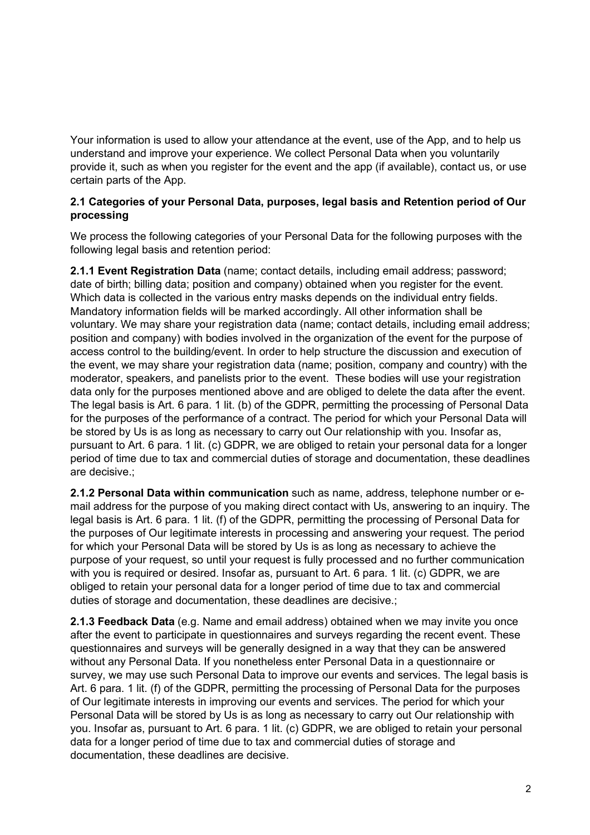Your information is used to allow your attendance at the event, use of the App, and to help us understand and improve your experience. We collect Personal Data when you voluntarily provide it, such as when you register for the event and the app (if available), contact us, or use certain parts of the App.

#### **2.1 Categories of your Personal Data, purposes, legal basis and Retention period of Our processing**

We process the following categories of your Personal Data for the following purposes with the following legal basis and retention period:

**2.1.1 Event Registration Data** (name; contact details, including email address; password; date of birth; billing data; position and company) obtained when you register for the event. Which data is collected in the various entry masks depends on the individual entry fields. Mandatory information fields will be marked accordingly. All other information shall be voluntary. We may share your registration data (name; contact details, including email address; position and company) with bodies involved in the organization of the event for the purpose of access control to the building/event. In order to help structure the discussion and execution of the event, we may share your registration data (name; position, company and country) with the moderator, speakers, and panelists prior to the event. These bodies will use your registration data only for the purposes mentioned above and are obliged to delete the data after the event. The legal basis is Art. 6 para. 1 lit. (b) of the GDPR, permitting the processing of Personal Data for the purposes of the performance of a contract. The period for which your Personal Data will be stored by Us is as long as necessary to carry out Our relationship with you. Insofar as, pursuant to Art. 6 para. 1 lit. (c) GDPR, we are obliged to retain your personal data for a longer period of time due to tax and commercial duties of storage and documentation, these deadlines are decisive.;

**2.1.2 Personal Data within communication** such as name, address, telephone number or email address for the purpose of you making direct contact with Us, answering to an inquiry. The legal basis is Art. 6 para. 1 lit. (f) of the GDPR, permitting the processing of Personal Data for the purposes of Our legitimate interests in processing and answering your request. The period for which your Personal Data will be stored by Us is as long as necessary to achieve the purpose of your request, so until your request is fully processed and no further communication with you is required or desired. Insofar as, pursuant to Art. 6 para. 1 lit. (c) GDPR, we are obliged to retain your personal data for a longer period of time due to tax and commercial duties of storage and documentation, these deadlines are decisive.;

**2.1.3 Feedback Data** (e.g. Name and email address) obtained when we may invite you once after the event to participate in questionnaires and surveys regarding the recent event. These questionnaires and surveys will be generally designed in a way that they can be answered without any Personal Data. If you nonetheless enter Personal Data in a questionnaire or survey, we may use such Personal Data to improve our events and services. The legal basis is Art. 6 para. 1 lit. (f) of the GDPR, permitting the processing of Personal Data for the purposes of Our legitimate interests in improving our events and services. The period for which your Personal Data will be stored by Us is as long as necessary to carry out Our relationship with you. Insofar as, pursuant to Art. 6 para. 1 lit. (c) GDPR, we are obliged to retain your personal data for a longer period of time due to tax and commercial duties of storage and documentation, these deadlines are decisive.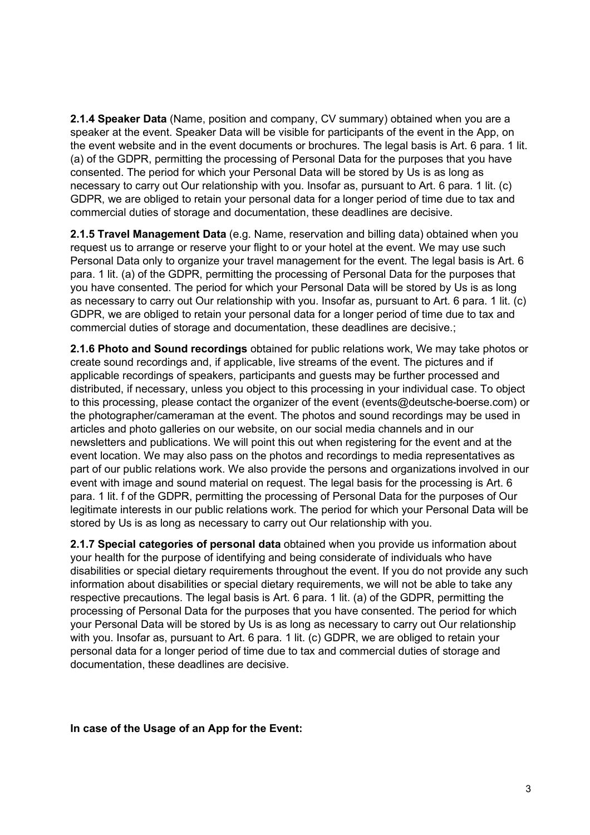**2.1.4 Speaker Data** (Name, position and company, CV summary) obtained when you are a speaker at the event. Speaker Data will be visible for participants of the event in the App, on the event website and in the event documents or brochures. The legal basis is Art. 6 para. 1 lit. (a) of the GDPR, permitting the processing of Personal Data for the purposes that you have consented. The period for which your Personal Data will be stored by Us is as long as necessary to carry out Our relationship with you. Insofar as, pursuant to Art. 6 para. 1 lit. (c) GDPR, we are obliged to retain your personal data for a longer period of time due to tax and commercial duties of storage and documentation, these deadlines are decisive.

**2.1.5 Travel Management Data** (e.g. Name, reservation and billing data) obtained when you request us to arrange or reserve your flight to or your hotel at the event. We may use such Personal Data only to organize your travel management for the event. The legal basis is Art. 6 para. 1 lit. (a) of the GDPR, permitting the processing of Personal Data for the purposes that you have consented. The period for which your Personal Data will be stored by Us is as long as necessary to carry out Our relationship with you. Insofar as, pursuant to Art. 6 para. 1 lit. (c) GDPR, we are obliged to retain your personal data for a longer period of time due to tax and commercial duties of storage and documentation, these deadlines are decisive.;

**2.1.6 Photo and Sound recordings** obtained for public relations work, We may take photos or create sound recordings and, if applicable, live streams of the event. The pictures and if applicable recordings of speakers, participants and guests may be further processed and distributed, if necessary, unless you object to this processing in your individual case. To object to this processing, please contact the organizer of the event (events@deutsche-boerse.com) or the photographer/cameraman at the event. The photos and sound recordings may be used in articles and photo galleries on our website, on our social media channels and in our newsletters and publications. We will point this out when registering for the event and at the event location. We may also pass on the photos and recordings to media representatives as part of our public relations work. We also provide the persons and organizations involved in our event with image and sound material on request. The legal basis for the processing is Art. 6 para. 1 lit. f of the GDPR, permitting the processing of Personal Data for the purposes of Our legitimate interests in our public relations work. The period for which your Personal Data will be stored by Us is as long as necessary to carry out Our relationship with you.

**2.1.7 Special categories of personal data** obtained when you provide us information about your health for the purpose of identifying and being considerate of individuals who have disabilities or special dietary requirements throughout the event. If you do not provide any such information about disabilities or special dietary requirements, we will not be able to take any respective precautions. The legal basis is Art. 6 para. 1 lit. (a) of the GDPR, permitting the processing of Personal Data for the purposes that you have consented. The period for which your Personal Data will be stored by Us is as long as necessary to carry out Our relationship with you. Insofar as, pursuant to Art. 6 para. 1 lit. (c) GDPR, we are obliged to retain your personal data for a longer period of time due to tax and commercial duties of storage and documentation, these deadlines are decisive.

**In case of the Usage of an App for the Event:**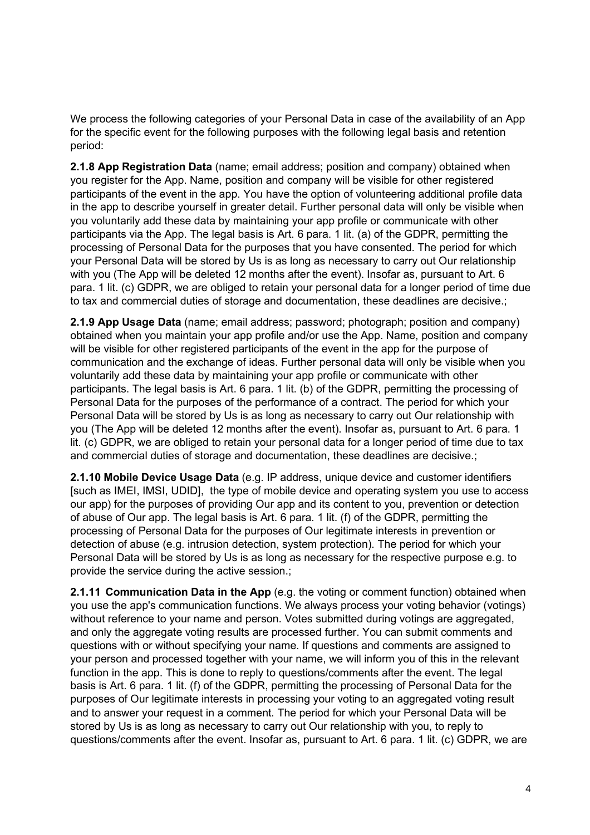We process the following categories of your Personal Data in case of the availability of an App for the specific event for the following purposes with the following legal basis and retention period:

**2.1.8 App Registration Data** (name; email address; position and company) obtained when you register for the App. Name, position and company will be visible for other registered participants of the event in the app. You have the option of volunteering additional profile data in the app to describe yourself in greater detail. Further personal data will only be visible when you voluntarily add these data by maintaining your app profile or communicate with other participants via the App. The legal basis is Art. 6 para. 1 lit. (a) of the GDPR, permitting the processing of Personal Data for the purposes that you have consented. The period for which your Personal Data will be stored by Us is as long as necessary to carry out Our relationship with you (The App will be deleted 12 months after the event). Insofar as, pursuant to Art. 6 para. 1 lit. (c) GDPR, we are obliged to retain your personal data for a longer period of time due to tax and commercial duties of storage and documentation, these deadlines are decisive.;

**2.1.9 App Usage Data** (name; email address; password; photograph; position and company) obtained when you maintain your app profile and/or use the App. Name, position and company will be visible for other registered participants of the event in the app for the purpose of communication and the exchange of ideas. Further personal data will only be visible when you voluntarily add these data by maintaining your app profile or communicate with other participants. The legal basis is Art. 6 para. 1 lit. (b) of the GDPR, permitting the processing of Personal Data for the purposes of the performance of a contract. The period for which your Personal Data will be stored by Us is as long as necessary to carry out Our relationship with you (The App will be deleted 12 months after the event). Insofar as, pursuant to Art. 6 para. 1 lit. (c) GDPR, we are obliged to retain your personal data for a longer period of time due to tax and commercial duties of storage and documentation, these deadlines are decisive.;

**2.1.10 Mobile Device Usage Data** (e.g. IP address, unique device and customer identifiers [such as IMEI, IMSI, UDID], the type of mobile device and operating system you use to access our app) for the purposes of providing Our app and its content to you, prevention or detection of abuse of Our app. The legal basis is Art. 6 para. 1 lit. (f) of the GDPR, permitting the processing of Personal Data for the purposes of Our legitimate interests in prevention or detection of abuse (e.g. intrusion detection, system protection). The period for which your Personal Data will be stored by Us is as long as necessary for the respective purpose e.g. to provide the service during the active session.;

**2.1.11 Communication Data in the App** (e.g. the voting or comment function) obtained when you use the app's communication functions. We always process your voting behavior (votings) without reference to your name and person. Votes submitted during votings are aggregated, and only the aggregate voting results are processed further. You can submit comments and questions with or without specifying your name. If questions and comments are assigned to your person and processed together with your name, we will inform you of this in the relevant function in the app. This is done to reply to questions/comments after the event. The legal basis is Art. 6 para. 1 lit. (f) of the GDPR, permitting the processing of Personal Data for the purposes of Our legitimate interests in processing your voting to an aggregated voting result and to answer your request in a comment. The period for which your Personal Data will be stored by Us is as long as necessary to carry out Our relationship with you, to reply to questions/comments after the event. Insofar as, pursuant to Art. 6 para. 1 lit. (c) GDPR, we are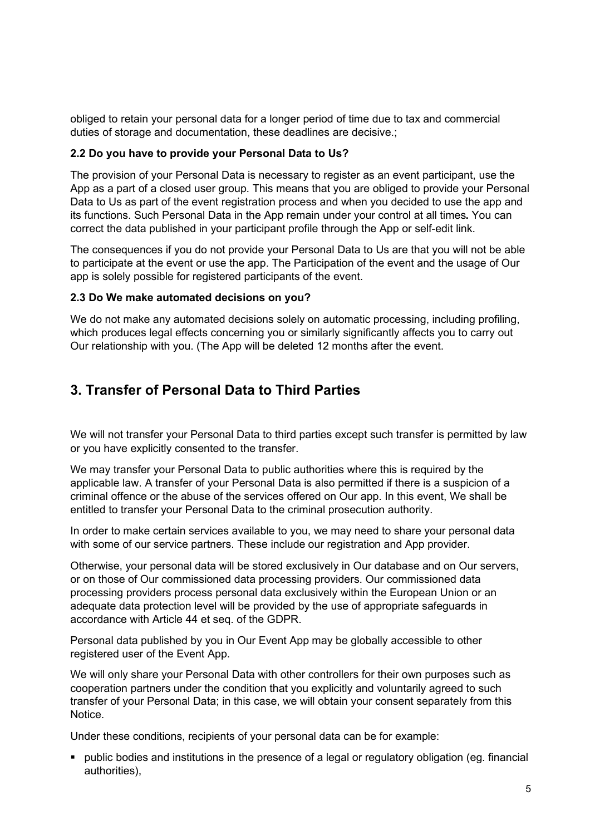obliged to retain your personal data for a longer period of time due to tax and commercial duties of storage and documentation, these deadlines are decisive.;

#### **2.2 Do you have to provide your Personal Data to Us?**

The provision of your Personal Data is necessary to register as an event participant, use the App as a part of a closed user group. This means that you are obliged to provide your Personal Data to Us as part of the event registration process and when you decided to use the app and its functions. Such Personal Data in the App remain under your control at all times**.** You can correct the data published in your participant profile through the App or self-edit link.

The consequences if you do not provide your Personal Data to Us are that you will not be able to participate at the event or use the app. The Participation of the event and the usage of Our app is solely possible for registered participants of the event.

#### **2.3 Do We make automated decisions on you?**

We do not make any automated decisions solely on automatic processing, including profiling, which produces legal effects concerning you or similarly significantly affects you to carry out Our relationship with you. (The App will be deleted 12 months after the event.

## **3. Transfer of Personal Data to Third Parties**

We will not transfer your Personal Data to third parties except such transfer is permitted by law or you have explicitly consented to the transfer.

We may transfer your Personal Data to public authorities where this is required by the applicable law. A transfer of your Personal Data is also permitted if there is a suspicion of a criminal offence or the abuse of the services offered on Our app. In this event, We shall be entitled to transfer your Personal Data to the criminal prosecution authority.

In order to make certain services available to you, we may need to share your personal data with some of our service partners. These include our registration and App provider.

Otherwise, your personal data will be stored exclusively in Our database and on Our servers, or on those of Our commissioned data processing providers. Our commissioned data processing providers process personal data exclusively within the European Union or an adequate data protection level will be provided by the use of appropriate safeguards in accordance with Article 44 et seq. of the GDPR.

Personal data published by you in Our Event App may be globally accessible to other registered user of the Event App.

We will only share your Personal Data with other controllers for their own purposes such as cooperation partners under the condition that you explicitly and voluntarily agreed to such transfer of your Personal Data; in this case, we will obtain your consent separately from this **Notice** 

Under these conditions, recipients of your personal data can be for example:

ß public bodies and institutions in the presence of a legal or regulatory obligation (eg. financial authorities),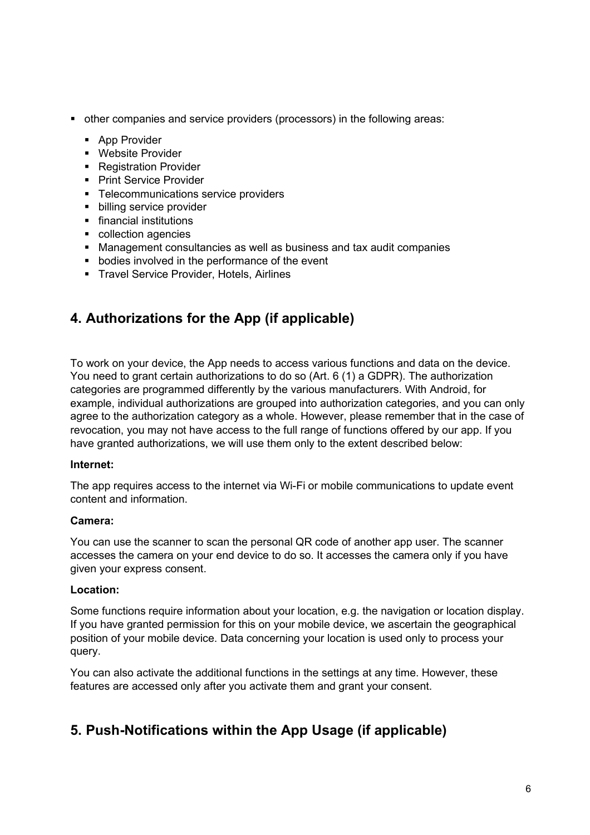- other companies and service providers (processors) in the following areas:
	- **•** App Provider
	- **Website Provider**
	- Registration Provider
	- **Print Service Provider**
	- **F** Telecommunications service providers
	- **•** billing service provider
	- **F** financial institutions
	- collection agencies
	- Management consultancies as well as business and tax audit companies
	- **•** bodies involved in the performance of the event
	- **Travel Service Provider, Hotels, Airlines**

## **4. Authorizations for the App (if applicable)**

To work on your device, the App needs to access various functions and data on the device. You need to grant certain authorizations to do so (Art. 6 (1) a GDPR). The authorization categories are programmed differently by the various manufacturers. With Android, for example, individual authorizations are grouped into authorization categories, and you can only agree to the authorization category as a whole. However, please remember that in the case of revocation, you may not have access to the full range of functions offered by our app. If you have granted authorizations, we will use them only to the extent described below:

#### **Internet:**

The app requires access to the internet via Wi-Fi or mobile communications to update event content and information.

#### **Camera:**

You can use the scanner to scan the personal QR code of another app user. The scanner accesses the camera on your end device to do so. It accesses the camera only if you have given your express consent.

#### **Location:**

Some functions require information about your location, e.g. the navigation or location display. If you have granted permission for this on your mobile device, we ascertain the geographical position of your mobile device. Data concerning your location is used only to process your query.

You can also activate the additional functions in the settings at any time. However, these features are accessed only after you activate them and grant your consent.

## **5. Push-Notifications within the App Usage (if applicable)**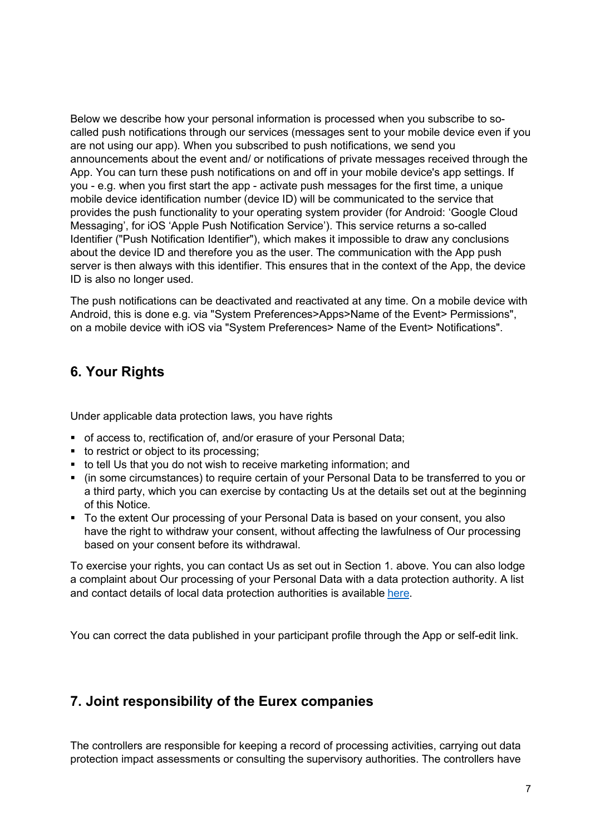Below we describe how your personal information is processed when you subscribe to socalled push notifications through our services (messages sent to your mobile device even if you are not using our app). When you subscribed to push notifications, we send you announcements about the event and/ or notifications of private messages received through the App. You can turn these push notifications on and off in your mobile device's app settings. If you - e.g. when you first start the app - activate push messages for the first time, a unique mobile device identification number (device ID) will be communicated to the service that provides the push functionality to your operating system provider (for Android: 'Google Cloud Messaging', for iOS 'Apple Push Notification Service'). This service returns a so-called Identifier ("Push Notification Identifier"), which makes it impossible to draw any conclusions about the device ID and therefore you as the user. The communication with the App push server is then always with this identifier. This ensures that in the context of the App, the device ID is also no longer used.

The push notifications can be deactivated and reactivated at any time. On a mobile device with Android, this is done e.g. via "System Preferences>Apps>Name of the Event> Permissions", on a mobile device with iOS via "System Preferences> Name of the Event> Notifications".

## **6. Your Rights**

Under applicable data protection laws, you have rights

- **f** of access to, rectification of, and/or erasure of your Personal Data;
- to restrict or object to its processing;
- to tell Us that you do not wish to receive marketing information; and
- (in some circumstances) to require certain of your Personal Data to be transferred to you or a third party, which you can exercise by contacting Us at the details set out at the beginning of this Notice.
- To the extent Our processing of your Personal Data is based on your consent, you also have the right to withdraw your consent, without affecting the lawfulness of Our processing based on your consent before its withdrawal.

To exercise your rights, you can contact Us as set out in Section 1. above. You can also lodge a complaint about Our processing of your Personal Data with a data protection authority. A list and contact details of local data protection authorities is available here.

You can correct the data published in your participant profile through the App or self-edit link.

## **7. Joint responsibility of the Eurex companies**

The controllers are responsible for keeping a record of processing activities, carrying out data protection impact assessments or consulting the supervisory authorities. The controllers have